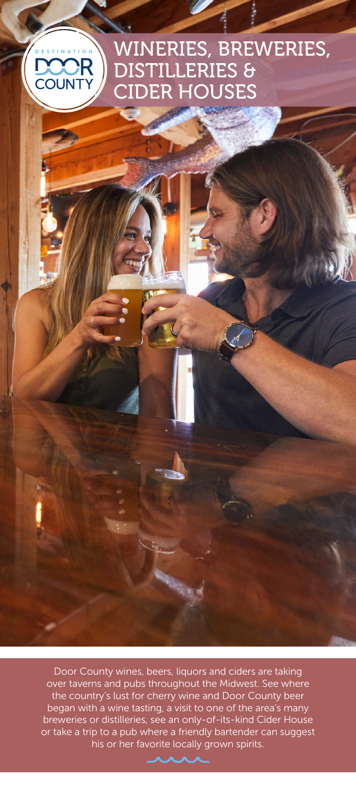### WINERIES, BREWERIES, DISTILLERIES & **OUN** CIDER HOUSES

Door County wines, beers, liquors and ciders are taking over taverns and pubs throughout the Midwest. See where the country's lust for cherry wine and Door County beer began with a wine tasting, a visit to one of the area's many breweries or distilleries, see an only-of-its-kind Cider House or take a trip to a pub where a friendly bartender can suggest his or her favorite locally grown spirits.